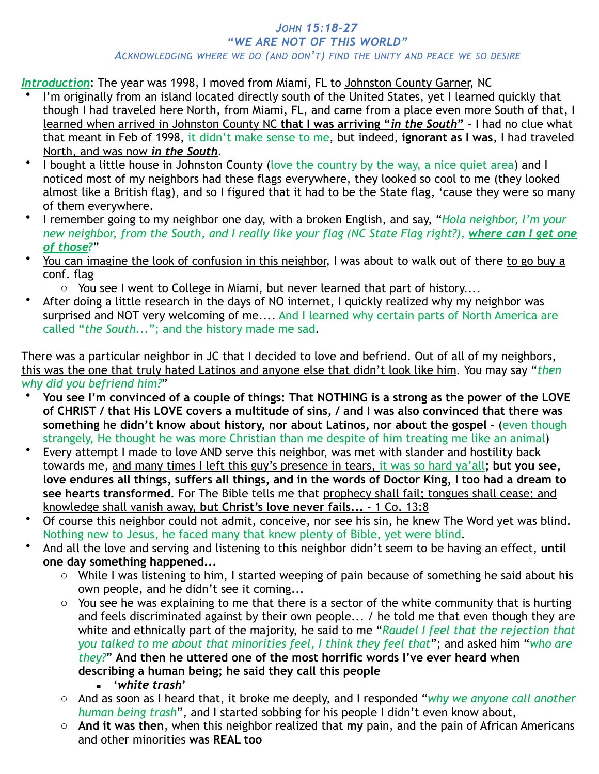## *JOHN 15:18-27 "WE ARE NOT OF THIS WORLD" ACKNOWLEDGING WHERE WE DO (AND DON'T) FIND THE UNITY AND PEACE WE SO DESIRE*

*Introduction*: The year was 1998, I moved from Miami, FL to Johnston County Garner, NC

- I'm originally from an island located directly south of the United States, yet I learned quickly that though I had traveled here North, from Miami, FL, and came from a place even more South of that, I learned when arrived in Johnston County NC **that I was arriving "***in the South***"** – I had no clue what that meant in Feb of 1998, it didn't make sense to me, but indeed, **ignorant as I was**, I had traveled North, and was now *in the South*.
- I bought a little house in Johnston County (love the country by the way, a nice quiet area) and I noticed most of my neighbors had these flags everywhere, they looked so cool to me (they looked almost like a British flag), and so I figured that it had to be the State flag, 'cause they were so many of them everywhere.
- I remember going to my neighbor one day, with a broken English, and say, "*Hola neighbor, I'm your new neighbor, from the South, and I really like your flag (NC State Flag right?), where can I get one of those?*"
- You can imagine the look of confusion in this neighbor, I was about to walk out of there to go buy a conf. flag
	- o You see I went to College in Miami, but never learned that part of history....
- After doing a little research in the days of NO internet, I quickly realized why my neighbor was surprised and NOT very welcoming of me.... And I learned why certain parts of North America are called "*the South...*"; and the history made me sad.

There was a particular neighbor in JC that I decided to love and befriend. Out of all of my neighbors, this was the one that truly hated Latinos and anyone else that didn't look like him. You may say "*then why did you befriend him?*"

- **You see I'm convinced of a couple of things: That NOTHING is a strong as the power of the LOVE of CHRIST / that His LOVE covers a multitude of sins, / and I was also convinced that there was something he didn't know about history, nor about Latinos, nor about the gospel -** (even though strangely, He thought he was more Christian than me despite of him treating me like an animal)
- Every attempt I made to love AND serve this neighbor, was met with slander and hostility back towards me, and many times I left this guy's presence in tears, it was so hard ya'all**; but you see, love endures all things, suffers all things, and in the words of Doctor King, I too had a dream to see hearts transformed**. For The Bible tells me that prophecy shall fail; tongues shall cease; and knowledge shall vanish away, **but Christ's love never fails...** - 1 Co. 13:8
- Of course this neighbor could not admit, conceive, nor see his sin, he knew The Word yet was blind. Nothing new to Jesus, he faced many that knew plenty of Bible, yet were blind.
- And all the love and serving and listening to this neighbor didn't seem to be having an effect, **until one day something happened...**
	- o While I was listening to him, I started weeping of pain because of something he said about his own people, and he didn't see it coming...
	- o You see he was explaining to me that there is a sector of the white community that is hurting and feels discriminated against by their own people... / he told me that even though they are white and ethnically part of the majority, he said to me "*Raudel I feel that the rejection that you talked to me about that minorities feel, I think they feel that*"; and asked him "*who are they?*" **And then he uttered one of the most horrific words I've ever heard when describing a human being; he said they call this people**
		- **'***white trash***'**
	- o And as soon as I heard that, it broke me deeply, and I responded "*why we anyone call another human being trash*", and I started sobbing for his people I didn't even know about,
	- o **And it was then**, when this neighbor realized that **my** pain, and the pain of African Americans and other minorities **was REAL too**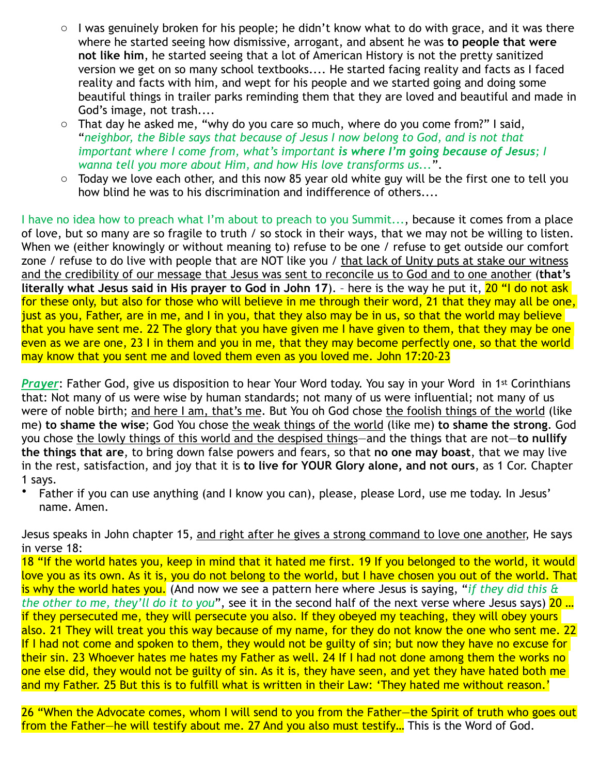- $\circ$  I was genuinely broken for his people; he didn't know what to do with grace, and it was there where he started seeing how dismissive, arrogant, and absent he was **to people that were not like him**, he started seeing that a lot of American History is not the pretty sanitized version we get on so many school textbooks.... He started facing reality and facts as I faced reality and facts with him, and wept for his people and we started going and doing some beautiful things in trailer parks reminding them that they are loved and beautiful and made in God's image, not trash....
- o That day he asked me, "why do you care so much, where do you come from?" I said, "*neighbor, the Bible says that because of Jesus I now belong to God, and is not that important where I come from, what's important is where I'm going because of Jesus; I wanna tell you more about Him, and how His love transforms us...*".
- o Today we love each other, and this now 85 year old white guy will be the first one to tell you how blind he was to his discrimination and indifference of others....

I have no idea how to preach what I'm about to preach to you Summit..., because it comes from a place of love, but so many are so fragile to truth / so stock in their ways, that we may not be willing to listen. When we (either knowingly or without meaning to) refuse to be one / refuse to get outside our comfort zone / refuse to do live with people that are NOT like you / that lack of Unity puts at stake our witness and the credibility of our message that Jesus was sent to reconcile us to God and to one another (**that's literally what Jesus said in His prayer to God in John 17**). – here is the way he put it, 20 "I do not ask for these only, but also for those who will believe in me through their word, 21 that they may all be one, just as you, Father, are in me, and I in you, that they also may be in us, so that the world may believe that you have sent me. 22 The glory that you have given me I have given to them, that they may be one even as we are one, 23 I in them and you in me, that they may become perfectly one, so that the world may know that you sent me and loved them even as you loved me. John 17:20-23

*Prayer*: Father God, give us disposition to hear Your Word today. You say in your Word in 1st Corinthians that: Not many of us were wise by human standards; not many of us were influential; not many of us were of noble birth; and here I am, that's me. But You oh God chose the foolish things of the world (like me) **to shame the wise**; God You chose the weak things of the world (like me) **to shame the strong**. God you chose the lowly things of this world and the despised things—and the things that are not—**to nullify the things that are**, to bring down false powers and fears, so that **no one may boast**, that we may live in the rest, satisfaction, and joy that it is **to live for YOUR Glory alone, and not ours**, as 1 Cor. Chapter 1 says.

• Father if you can use anything (and I know you can), please, please Lord, use me today. In Jesus' name. Amen.

Jesus speaks in John chapter 15, and right after he gives a strong command to love one another, He says in verse 18:

18 "If the world hates you, keep in mind that it hated me first. 19 If you belonged to the world, it would love you as its own. As it is, you do not belong to the world, but I have chosen you out of the world. That is why the world hates you. (And now we see a pattern here where Jesus is saying, "*if they did this & the other to me, they'll do it to you*", see it in the second half of the next verse where Jesus says) 20 … if they persecuted me, they will persecute you also. If they obeyed my teaching, they will obey yours also. 21 They will treat you this way because of my name, for they do not know the one who sent me. 22 If I had not come and spoken to them, they would not be guilty of sin; but now they have no excuse for their sin. 23 Whoever hates me hates my Father as well. 24 If I had not done among them the works no one else did, they would not be guilty of sin. As it is, they have seen, and yet they have hated both me and my Father. 25 But this is to fulfill what is written in their Law: 'They hated me without reason.'

26 "When the Advocate comes, whom I will send to you from the Father—the Spirit of truth who goes out from the Father—he will testify about me. 27 And you also must testify... This is the Word of God.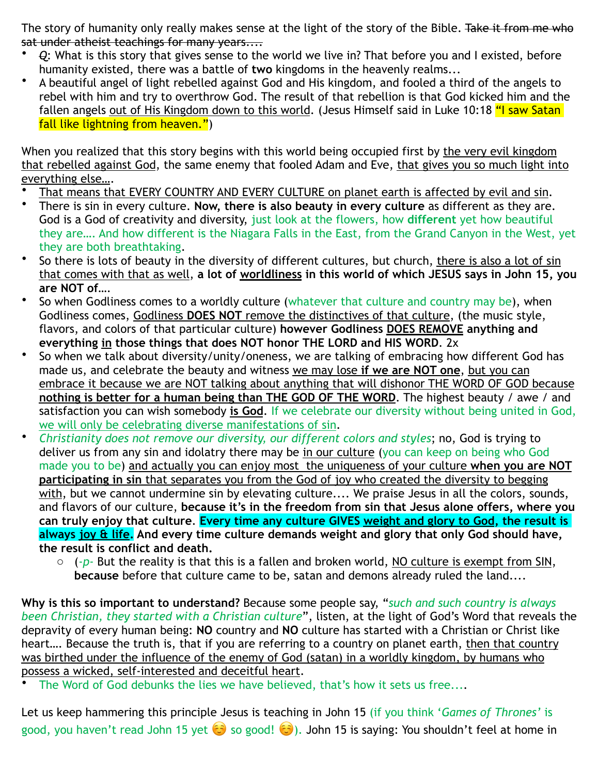The story of humanity only really makes sense at the light of the story of the Bible. Take it from me who sat under atheist teachings for many years....

- *Q*: What is this story that gives sense to the world we live in? That before you and I existed, before humanity existed, there was a battle of **two** kingdoms in the heavenly realms...
- A beautiful angel of light rebelled against God and His kingdom, and fooled a third of the angels to rebel with him and try to overthrow God. The result of that rebellion is that God kicked him and the fallen angels out of His Kingdom down to this world. (Jesus Himself said in Luke 10:18 "I saw Satan fall like lightning from heaven.")

When you realized that this story begins with this world being occupied first by the very evil kingdom that rebelled against God, the same enemy that fooled Adam and Eve, that gives you so much light into everything else….

- That means that EVERY COUNTRY AND EVERY CULTURE on planet earth is affected by evil and sin.
- There is sin in every culture. **Now, there is also beauty in every culture** as different as they are. God is a God of creativity and diversity, just look at the flowers, how **different** yet how beautiful they are…. And how different is the Niagara Falls in the East, from the Grand Canyon in the West, yet they are both breathtaking.
- So there is lots of beauty in the diversity of different cultures, but church, there is also a lot of sin that comes with that as well, **a lot of worldliness in this world of which JESUS says in John 15, you are NOT of…**.
- So when Godliness comes to a worldly culture (whatever that culture and country may be), when Godliness comes, Godliness **DOES NOT** remove the distinctives of that culture, (the music style, flavors, and colors of that particular culture) **however Godliness DOES REMOVE anything and everything in those things that does NOT honor THE LORD and HIS WORD**. 2x
- So when we talk about diversity/unity/oneness, we are talking of embracing how different God has made us, and celebrate the beauty and witness we may lose **if we are NOT one**, but you can embrace it because we are NOT talking about anything that will dishonor THE WORD OF GOD because **nothing is better for a human being than THE GOD OF THE WORD**. The highest beauty / awe / and satisfaction you can wish somebody **is God**. If we celebrate our diversity without being united in God, we will only be celebrating diverse manifestations of sin.
- *Christianity does not remove our diversity, our different colors and styles*; no, God is trying to deliver us from any sin and idolatry there may be in our culture (you can keep on being who God made you to be) and actually you can enjoy most the uniqueness of your culture **when you are NOT participating in sin** that separates you from the God of joy who created the diversity to begging with, but we cannot undermine sin by elevating culture.... We praise Jesus in all the colors, sounds, and flavors of our culture, **because it's in the freedom from sin that Jesus alone offers, where you can truly enjoy that culture**. **Every time any culture GIVES weight and glory to God, the result is always joy & life. And every time culture demands weight and glory that only God should have, the result is conflict and death.**
	- o (-*p* But the reality is that this is a fallen and broken world, NO culture is exempt from SIN, **because** before that culture came to be, satan and demons already ruled the land....

**Why is this so important to understand?** Because some people say, "*such and such country is always been Christian, they started with a Christian culture*", listen, at the light of God's Word that reveals the depravity of every human being: **NO** country and **NO** culture has started with a Christian or Christ like heart…. Because the truth is, that if you are referring to a country on planet earth, then that country was birthed under the influence of the enemy of God (satan) in a worldly kingdom, by humans who possess a wicked, self-interested and deceitful heart.

The Word of God debunks the lies we have believed, that's how it sets us free....

Let us keep hammering this principle Jesus is teaching in John 15 (if you think '*Games of Thrones'* is good, you haven't read John 15 yet  $\odot$  so good!  $\odot$ ). John 15 is saying: You shouldn't feel at home in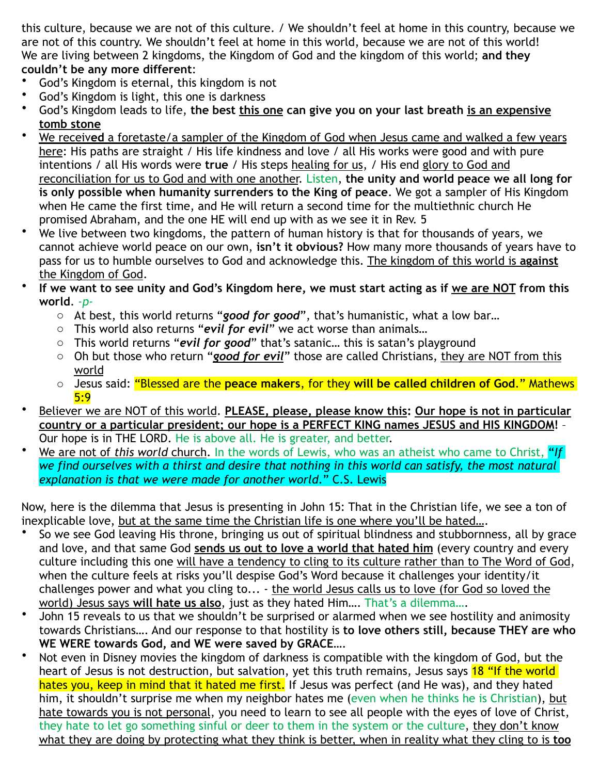this culture, because we are not of this culture. / We shouldn't feel at home in this country, because we are not of this country. We shouldn't feel at home in this world, because we are not of this world! We are living between 2 kingdoms, the Kingdom of God and the kingdom of this world; **and they couldn't be any more different**:

- God's Kingdom is eternal, this kingdom is not
- God's Kingdom is light, this one is darkness
- God's Kingdom leads to life, **the best this one can give you on your last breath is an expensive tomb stone**
- We receiv**ed** a foretaste/a sampler of the Kingdom of God when Jesus came and walked a few years here: His paths are straight / His life kindness and love / all His works were good and with pure intentions / all His words were **true** / His steps healing for us, / His end glory to God and reconciliation for us to God and with one another. Listen, **the unity and world peace we all long for is only possible when humanity surrenders to the King of peace**. We got a sampler of His Kingdom when He came the first time, and He will return a second time for the multiethnic church He promised Abraham, and the one HE will end up with as we see it in Rev. 5
- We live between two kingdoms, the pattern of human history is that for thousands of years, we cannot achieve world peace on our own, **isn't it obvious?** How many more thousands of years have to pass for us to humble ourselves to God and acknowledge this. The kingdom of this world is **against** the Kingdom of God.
- If we want to see unity and God's Kingdom here, we must start acting as if we are NOT from this **world**. *-p*
	- o At best, this world returns "*good for good*", that's humanistic, what a low bar…
	- o This world also returns "*evil for evil*" we act worse than animals…
	- o This world returns "*evil for good*" that's satanic… this is satan's playground
	- o Oh but those who return "*good for evil*" those are called Christians, they are NOT from this world
	- o Jesus said: "Blessed are the **peace makers**, for they **will be called children of God**." Mathews  $5:9$
- Believer we are NOT of this world. **PLEASE, please, please know this: Our hope is not in particular country or a particular president; our hope is a PERFECT KING names JESUS and HIS KINGDOM!** – Our hope is in THE LORD. He is above all. He is greater, and better.
- We are not of *this world* church. In the words of Lewis, who was an atheist who came to Christ, "*If we find ourselves with a thirst and desire that nothing in this world can satisfy, the most natural explanation is that we were made for another world*." C.S. Lewis

Now, here is the dilemma that Jesus is presenting in John 15: That in the Christian life, we see a ton of inexplicable love, but at the same time the Christian life is one where you'll be hated….

- So we see God leaving His throne, bringing us out of spiritual blindness and stubbornness, all by grace and love, and that same God **sends us out to love a world that hated him** (every country and every culture including this one will have a tendency to cling to its culture rather than to The Word of God, when the culture feels at risks you'll despise God's Word because it challenges your identity/it challenges power and what you cling to... - the world Jesus calls us to love (for God so loved the world) Jesus says **will hate us also**, just as they hated Him…. That's a dilemma….
- John 15 reveals to us that we shouldn't be surprised or alarmed when we see hostility and animosity towards Christians…. And our response to that hostility is **to love others still, because THEY are who WE WERE towards God, and WE were saved by GRACE…**.
- Not even in Disney movies the kingdom of darkness is compatible with the kingdom of God, but the heart of Jesus is not destruction, but salvation, yet this truth remains, Jesus says 18 "If the world hates you, keep in mind that it hated me first. If Jesus was perfect (and He was), and they hated him, it shouldn't surprise me when my neighbor hates me (even when he thinks he is Christian), but hate towards you is not personal, you need to learn to see all people with the eyes of love of Christ, they hate to let go something sinful or deer to them in the system or the culture, they don't know what they are doing by protecting what they think is better, when in reality what they cling to is **too**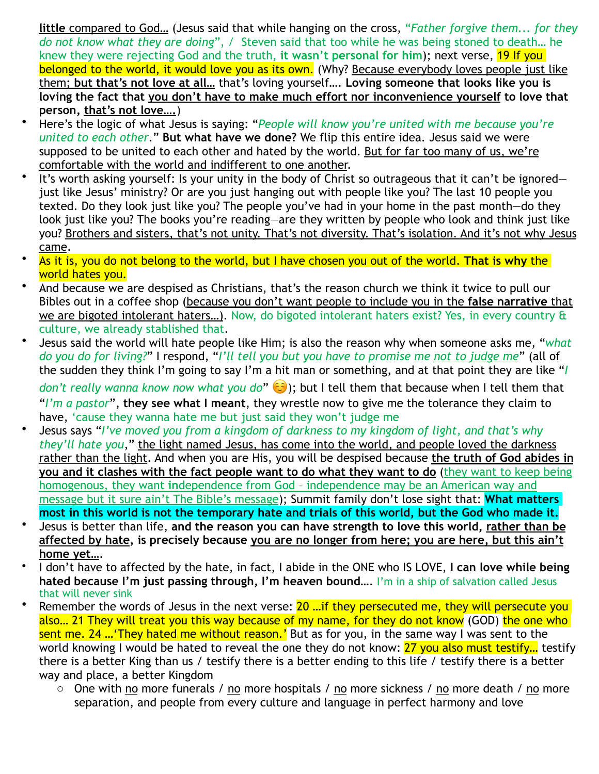**little** compared to God… (Jesus said that while hanging on the cross, "*Father forgive them... for they do not know what they are doing*", / Steven said that too while he was being stoned to death… he knew they were rejecting God and the truth, **it wasn't personal for him**); next verse, 19 If you belonged to the world, it would love you as its own. (Why? Because everybody loves people just like them; **but that's not love at all…** that's loving yourself…. **Loving someone that looks like you is loving the fact that you don't have to make much effort nor inconvenience yourself to love that person, that's not love….**)

- Here's the logic of what Jesus is saying: "*People will know you're united with me because you're united to each other*." **But what have we done?** We flip this entire idea. Jesus said we were supposed to be united to each other and hated by the world. But for far too many of us, we're comfortable with the world and indifferent to one another.
- It's worth asking yourself: Is your unity in the body of Christ so outrageous that it can't be ignoredjust like Jesus' ministry? Or are you just hanging out with people like you? The last 10 people you texted. Do they look just like you? The people you've had in your home in the past month—do they look just like you? The books you're reading—are they written by people who look and think just like you? Brothers and sisters, that's not unity. That's not diversity. That's isolation. And it's not why Jesus came.
- As it is, you do not belong to the world, but I have chosen you out of the world. **That is why** the world hates you.
- And because we are despised as Christians, that's the reason church we think it twice to pull our Bibles out in a coffee shop (because you don't want people to include you in the **false narrative** that we are bigoted intolerant haters…). Now, do bigoted intolerant haters exist? Yes, in every country & culture, we already stablished that.
- Jesus said the world will hate people like Him; is also the reason why when someone asks me, "*what do you do for living?*" I respond, "*I'll tell you but you have to promise me not to judge me*" (all of the sudden they think I'm going to say I'm a hit man or something, and at that point they are like "*I*

*don't really wanna know now what you do*" ☺ ); but I tell them that because when I tell them that "*I'm a pastor*", **they see what I meant**, they wrestle now to give me the tolerance they claim to have, 'cause they wanna hate me but just said they won't judge me

- Jesus says "*I've moved you from a kingdom of darkness to my kingdom of light, and that's why they'll hate you*," the light named Jesus, has come into the world, and people loved the darkness rather than the light. And when you are His, you will be despised because **the truth of God abides in you and it clashes with the fact people want to do what they want to do** (they want to keep being homogenous, they want **in**dependence from God – independence may be an American way and message but it sure ain't The Bible's message); Summit family don't lose sight that: **What matters most in this world is not the temporary hate and trials of this world, but the God who made it.**
- Jesus is better than life, **and the reason you can have strength to love this world, rather than be affected by hate, is precisely because you are no longer from here; you are here, but this ain't home yet…**.
- I don't have to affected by the hate, in fact, I abide in the ONE who IS LOVE, **I can love while being hated because I'm just passing through, I'm heaven bound…**. I'm in a ship of salvation called Jesus that will never sink
- Remember the words of Jesus in the next verse: 20 ... if they persecuted me, they will persecute you also... 21 They will treat you this way because of my name, for they do not know (GOD) the one who sent me. 24 …'They hated me without reason.' But as for you, in the same way I was sent to the world knowing I would be hated to reveal the one they do not know: 27 you also must testify... testify there is a better King than us / testify there is a better ending to this life / testify there is a better way and place, a better Kingdom
	- o One with no more funerals / no more hospitals / no more sickness / no more death / no more separation, and people from every culture and language in perfect harmony and love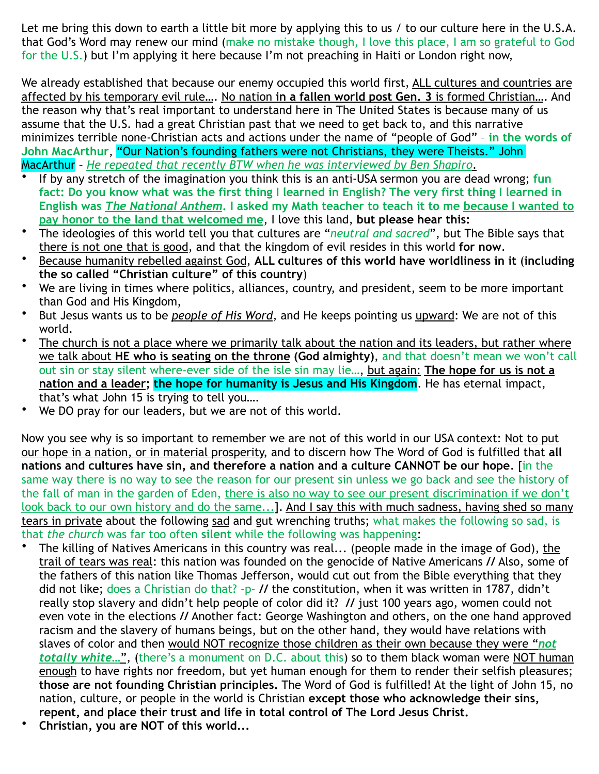Let me bring this down to earth a little bit more by applying this to us / to our culture here in the U.S.A. that God's Word may renew our mind (make no mistake though, I love this place, I am so grateful to God for the U.S.) but I'm applying it here because I'm not preaching in Haiti or London right now,

We already established that because our enemy occupied this world first, ALL cultures and countries are affected by his temporary evil rule…. No nation **in a fallen world post Gen. 3** is formed Christian…. And the reason why that's real important to understand here in The United States is because many of us assume that the U.S. had a great Christian past that we need to get back to, and this narrative minimizes terrible none-Christian acts and actions under the name of "people of God" – **in the words of John MacArthur**, "Our Nation's founding fathers were not Christians, they were Theists." John MacArthur – *He repeated that recently BTW when he was interviewed by Ben Shapiro*.

- If by any stretch of the imagination you think this is an anti-USA sermon you are dead wrong; **fun fact: Do you know what was the first thing I learned in English? The very first thing I learned in English was** *The National Anthem***. I asked my Math teacher to teach it to me because I wanted to pay honor to the land that welcomed me**, I love this land, **but please hear this:**
- The ideologies of this world tell you that cultures are "*neutral and sacred*", but The Bible says that there is not one that is good, and that the kingdom of evil resides in this world **for now**.
- Because humanity rebelled against God, **ALL cultures of this world have worldliness in it** (**including the so called "Christian culture" of this country**)
- We are living in times where politics, alliances, country, and president, seem to be more important than God and His Kingdom,
- But Jesus wants us to be *people of His Word*, and He keeps pointing us upward: We are not of this world.
- The church is not a place where we primarily talk about the nation and its leaders, but rather where we talk about **HE who is seating on the throne (God almighty)**, and that doesn't mean we won't call out sin or stay silent where-ever side of the isle sin may lie…, but again: **The hope for us is not a nation and a leader; the hope for humanity is Jesus and His Kingdom**. He has eternal impact, that's what John 15 is trying to tell you….
- We DO pray for our leaders, but we are not of this world.

Now you see why is so important to remember we are not of this world in our USA context: Not to put our hope in a nation, or in material prosperity, and to discern how The Word of God is fulfilled that **all nations and cultures have sin, and therefore a nation and a culture CANNOT be our hope**. [in the same way there is no way to see the reason for our present sin unless we go back and see the history of the fall of man in the garden of Eden, there is also no way to see our present discrimination if we don't look back to our own history and do the same...]. And I say this with much sadness, having shed so many tears in private about the following sad and gut wrenching truths; what makes the following so sad, is that *the church* was far too often **silent** while the following was happening:

- The killing of Natives Americans in this country was real... (people made in the image of God), the trail of tears was real: this nation was founded on the genocide of Native Americans **//** Also, some of the fathers of this nation like Thomas Jefferson, would cut out from the Bible everything that they did not like; does a Christian do that? -p- **//** the constitution, when it was written in 1787, didn't really stop slavery and didn't help people of color did it? **//** just 100 years ago, women could not even vote in the elections **//** Another fact: George Washington and others, on the one hand approved racism and the slavery of humans beings, but on the other hand, they would have relations with slaves of color and then would NOT recognize those children as their own because they were "*not totally white…*", (there's a monument on D.C. about this) so to them black woman were NOT human enough to have rights nor freedom, but yet human enough for them to render their selfish pleasures; **those are not founding Christian principles.** The Word of God is fulfilled! At the light of John 15, no nation, culture, or people in the world is Christian **except those who acknowledge their sins, repent, and place their trust and life in total control of The Lord Jesus Christ.**
- **Christian, you are NOT of this world...**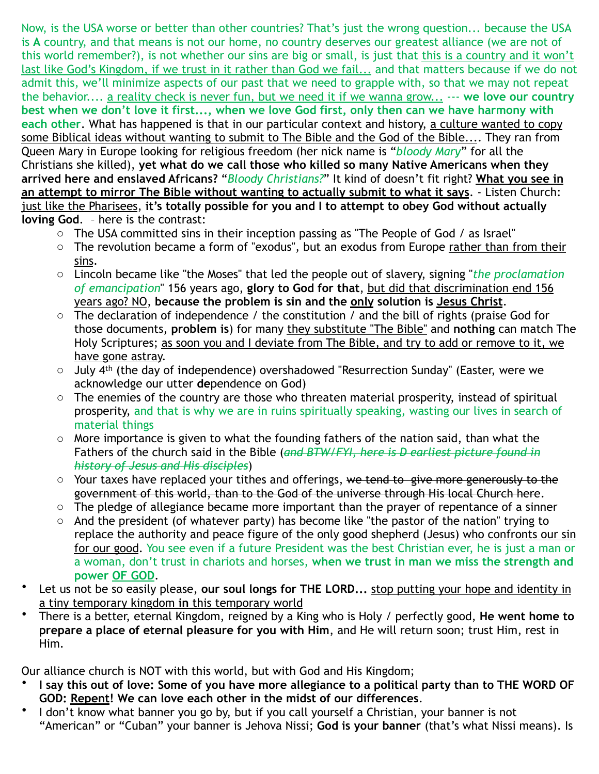Now, is the USA worse or better than other countries? That's just the wrong question... because the USA is **A** country, and that means is not our home, no country deserves our greatest alliance (we are not of this world remember?), is not whether our sins are big or small, is just that this is a country and it won't last like God's Kingdom, if we trust in it rather than God we fail... and that matters because if we do not admit this, we'll minimize aspects of our past that we need to grapple with, so that we may not repeat the behavior.... a reality check is never fun, but we need it if we wanna grow... --- **we love our country best when we don't love it first..., when we love God first, only then can we have harmony with each other**. What has happened is that in our particular context and history, a culture wanted to copy some Biblical ideas without wanting to submit to The Bible and the God of the Bible.... They ran from Queen Mary in Europe looking for religious freedom (her nick name is "*bloody Mary*" for all the Christians she killed), **yet what do we call those who killed so many Native Americans when they arrived here and enslaved Africans?** "*Bloody Christians?*" It kind of doesn't fit right? **What you see in an attempt to mirror The Bible without wanting to actually submit to what it says**. - Listen Church: just like the Pharisees, **it's totally possible for you and I to attempt to obey God without actually loving God**. – here is the contrast:

- o The USA committed sins in their inception passing as "The People of God / as Israel"
- o The revolution became a form of "exodus", but an exodus from Europe rather than from their sins.
- o Lincoln became like "the Moses" that led the people out of slavery, signing "*the proclamation of emancipation*" 156 years ago, **glory to God for that**, but did that discrimination end 156 years ago? NO, **because the problem is sin and the only solution is Jesus Christ**.
- $\circ$  The declaration of independence / the constitution / and the bill of rights (praise God for those documents, **problem is**) for many they substitute "The Bible" and **nothing** can match The Holy Scriptures; as soon you and I deviate from The Bible, and try to add or remove to it, we have gone astray.
- o July 4th (the day of **in**dependence) overshadowed "Resurrection Sunday" (Easter, were we acknowledge our utter **de**pendence on God)
- o The enemies of the country are those who threaten material prosperity, instead of spiritual prosperity, and that is why we are in ruins spiritually speaking, wasting our lives in search of material things
- o More importance is given to what the founding fathers of the nation said, than what the Fathers of the church said in the Bible (*and BTW/FYI, here is D earliest picture found in history of Jesus and His disciples*)
- o Your taxes have replaced your tithes and offerings, we tend to give more generously to the government of this world, than to the God of the universe through His local Church here.
- o The pledge of allegiance became more important than the prayer of repentance of a sinner
- $\circ$  And the president (of whatever party) has become like "the pastor of the nation" trying to replace the authority and peace figure of the only good shepherd (Jesus) who confronts our sin for our good. You see even if a future President was the best Christian ever, he is just a man or a woman, don't trust in chariots and horses, **when we trust in man we miss the strength and power OF GOD**.
- Let us not be so easily please, our soul longs for THE LORD... stop putting your hope and identity in a tiny temporary kingdom **in** this temporary world
- There is a better, eternal Kingdom, reigned by a King who is Holy / perfectly good, **He went home to prepare a place of eternal pleasure for you with Him**, and He will return soon; trust Him, rest in Him.

Our alliance church is NOT with this world, but with God and His Kingdom;

- **I say this out of love: Some of you have more allegiance to a political party than to THE WORD OF GOD: Repent! We can love each other in the midst of our differences**.
- I don't know what banner you go by, but if you call yourself a Christian, your banner is not "American" or "Cuban" your banner is Jehova Nissi; **God is your banner** (that's what Nissi means). Is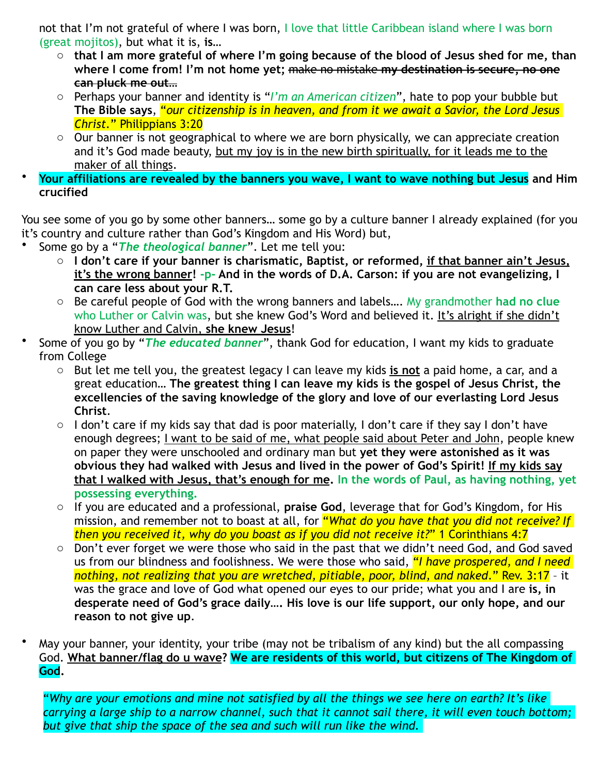not that I'm not grateful of where I was born, I love that little Caribbean island where I was born (great mojitos), but what it is, **is…**

- o **that I am more grateful of where I'm going because of the blood of Jesus shed for me, than where I come from! I'm not home yet;** make no mistake **my destination is secure, no one can pluck me out…**
- o Perhaps your banner and identity is "*I'm an American citizen*", hate to pop your bubble but **The Bible says**, "*our citizenship is in heaven, and from it we await a Savior, the Lord Jesus Christ.*" Philippians 3:20
- $\circ$  Our banner is not geographical to where we are born physically, we can appreciate creation and it's God made beauty, but my joy is in the new birth spiritually, for it leads me to the maker of all things.
- **Your affiliations are revealed by the banners you wave, I want to wave nothing but Jesus and Him crucified**

You see some of you go by some other banners… some go by a culture banner I already explained (for you it's country and culture rather than God's Kingdom and His Word) but,

- Some go by a "*The theological banner*". Let me tell you:
	- o **I don't care if your banner is charismatic, Baptist, or reformed, if that banner ain't Jesus, it's the wrong banner! -p- And in the words of D.A. Carson: if you are not evangelizing, I can care less about your R.T.**
	- o Be careful people of God with the wrong banners and labels…. My grandmother **had no clue** who Luther or Calvin was, but she knew God's Word and believed it. It's alright if she didn't know Luther and Calvin, **she knew Jesus**!
- Some of you go by "*The educated banner*", thank God for education, I want my kids to graduate from College
	- o But let me tell you, the greatest legacy I can leave my kids **is not** a paid home, a car, and a great education… **The greatest thing I can leave my kids is the gospel of Jesus Christ, the excellencies of the saving knowledge of the glory and love of our everlasting Lord Jesus Christ**.
	- o I don't care if my kids say that dad is poor materially, I don't care if they say I don't have enough degrees; I want to be said of me, what people said about Peter and John, people knew on paper they were unschooled and ordinary man but **yet they were astonished as it was obvious they had walked with Jesus and lived in the power of God's Spirit! If my kids say that I walked with Jesus, that's enough for me. In the words of Paul, as having nothing, yet possessing everything.**
	- o If you are educated and a professional, **praise God**, leverage that for God's Kingdom, for His mission, and remember not to boast at all, for "*What do you have that you did not receive? If then you received it, why do you boast as if you did not receive it?*" 1 Corinthians 4:7
	- o Don't ever forget we were those who said in the past that we didn't need God, and God saved us from our blindness and foolishness. We were those who said, "*I have prospered, and I need nothing, not realizing that you are wretched, pitiable, poor, blind, and naked*." Rev. 3:17 – it was the grace and love of God what opened our eyes to our pride; what you and I are **is, in desperate need of God's grace daily…. His love is our life support, our only hope, and our reason to not give up**.

• May your banner, your identity, your tribe (may not be tribalism of any kind) but the all compassing God. **What banner/flag do u wave? We are residents of this world, but citizens of The Kingdom of God.**

"*Why are your emotions and mine not satisfied by all the things we see here on earth? It's like carrying a large ship to a narrow channel, such that it cannot sail there, it will even touch bottom; but give that ship the space of the sea and such will run like the wind.*